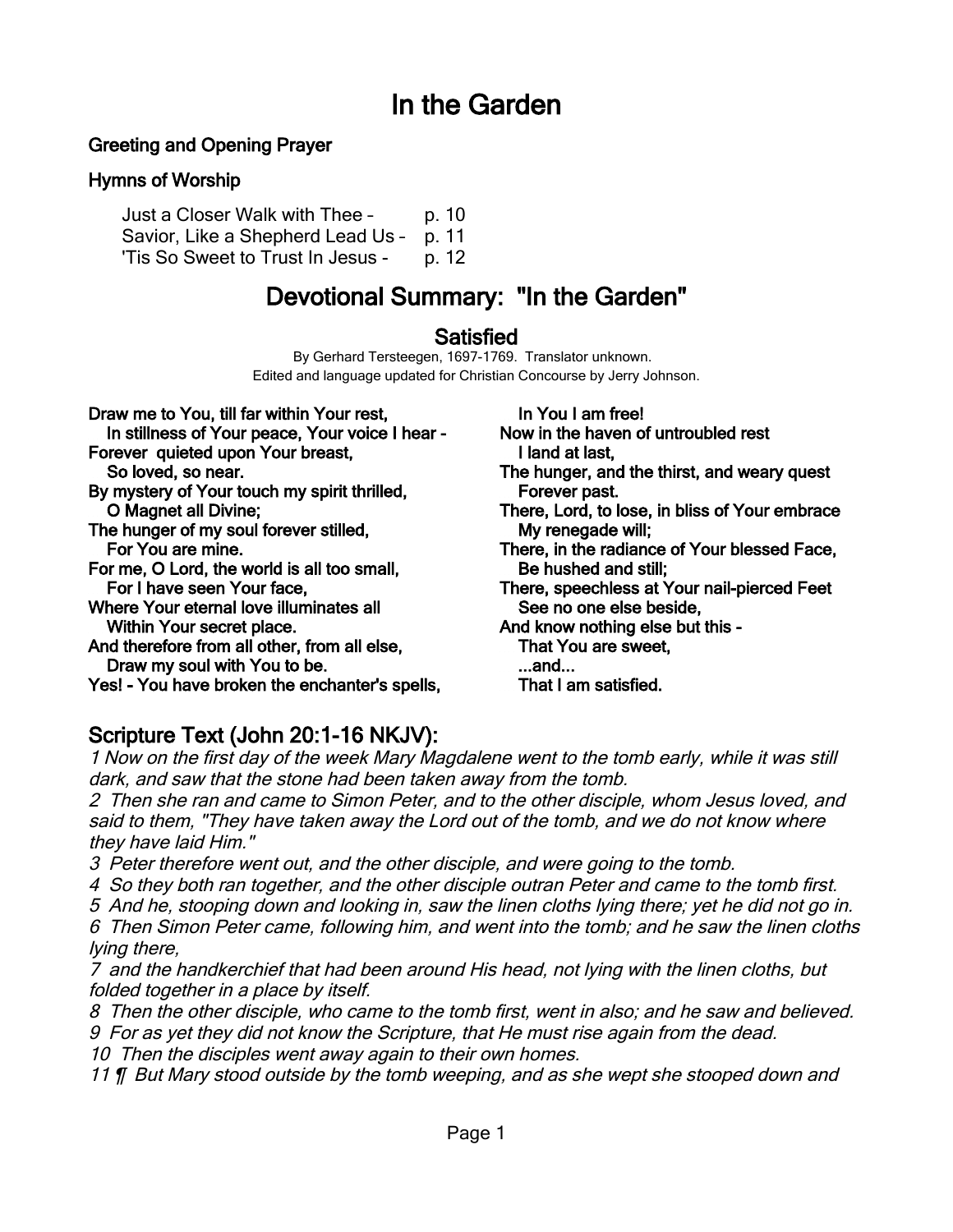# In the Garden

### Greeting and Opening Prayer

#### Hymns of Worship

Just a Closer Walk with Thee - p. 10 Savior, Like a Shepherd Lead Us – p. 11 'Tis So Sweet to Trust In Jesus - p. 12

## Devotional Summary: "In the Garden"

### **Satisfied**

By Gerhard Tersteegen, 1697-1769. Translator unknown. Edited and language updated for Christian Concourse by Jerry Johnson.

Draw me to You, till far within Your rest, In stillness of Your peace, Your voice I hear - Forever quieted upon Your breast, So loved, so near. By mystery of Your touch my spirit thrilled, O Magnet all Divine; The hunger of my soul forever stilled, For You are mine. For me, O Lord, the world is all too small, For I have seen Your face, Where Your eternal love illuminates all Within Your secret place. And therefore from all other, from all else, Draw my soul with You to be.

Yes! - You have broken the enchanter's spells,

 In You I am free! Now in the haven of untroubled rest I land at last, The hunger, and the thirst, and weary quest Forever past.

There, Lord, to lose, in bliss of Your embrace My renegade will;

There, in the radiance of Your blessed Face, Be hushed and still;

There, speechless at Your nail-pierced Feet See no one else beside,

And know nothing else but this - That You are sweet, ...and... That I am satisfied.

### Scripture Text (John 20:1-16 NKJV):

1 Now on the first day of the week Mary Magdalene went to the tomb early, while it was still dark, and saw that the stone had been taken away from the tomb.

2 Then she ran and came to Simon Peter, and to the other disciple, whom Jesus loved, and said to them, "They have taken away the Lord out of the tomb, and we do not know where they have laid Him."

3 Peter therefore went out, and the other disciple, and were going to the tomb.

4 So they both ran together, and the other disciple outran Peter and came to the tomb first.

5 And he, stooping down and looking in, saw the linen cloths lying there; yet he did not go in.

6 Then Simon Peter came, following him, and went into the tomb; and he saw the linen cloths lying there,

7 and the handkerchief that had been around His head, not lying with the linen cloths, but folded together in a place by itself.

8 Then the other disciple, who came to the tomb first, went in also; and he saw and believed. 9 For as yet they did not know the Scripture, that He must rise again from the dead.

10 Then the disciples went away again to their own homes.

11 ¶ But Mary stood outside by the tomb weeping, and as she wept she stooped down and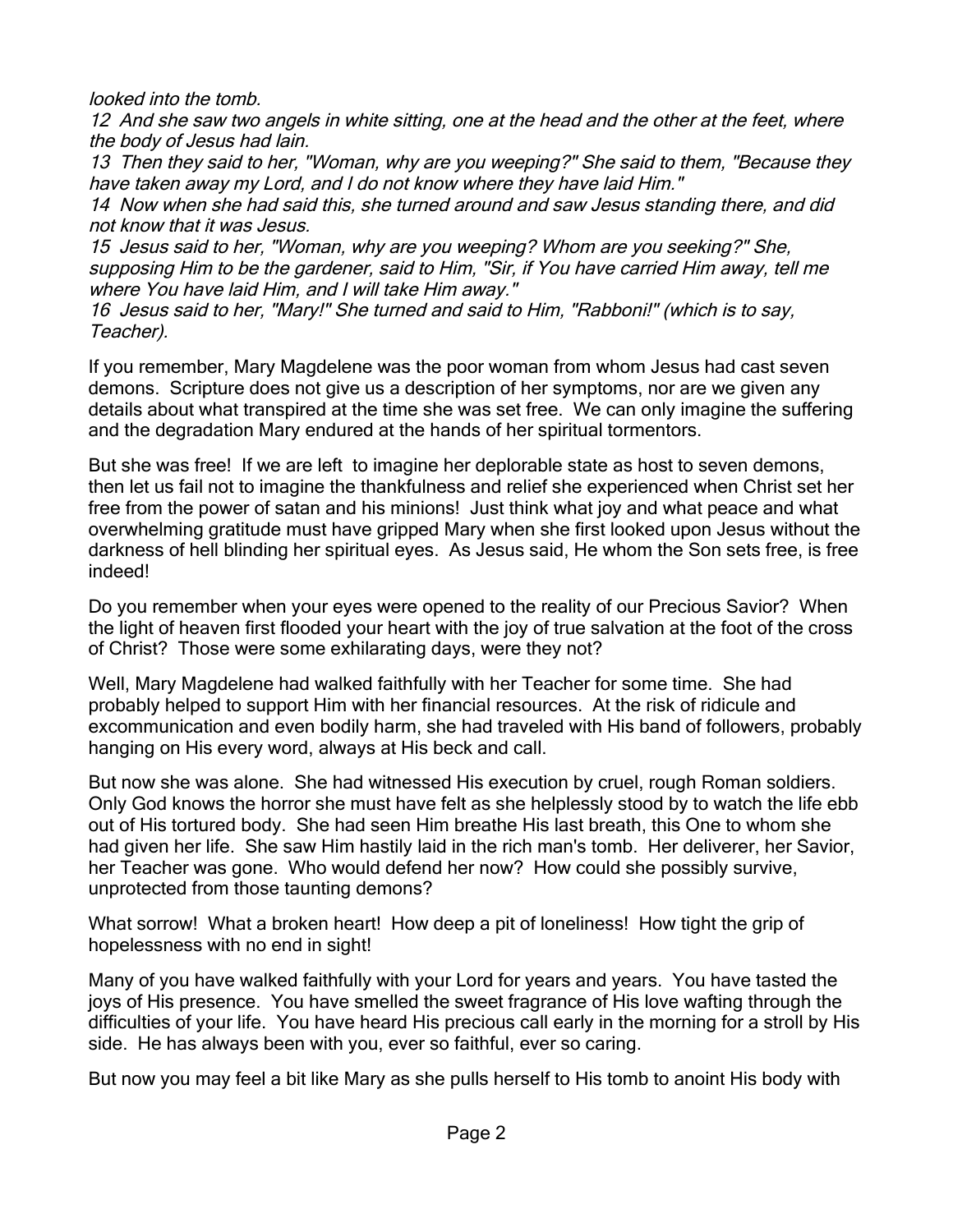looked into the tomb.

12 And she saw two angels in white sitting, one at the head and the other at the feet, where the body of Jesus had lain.

13 Then they said to her, "Woman, why are you weeping?" She said to them, "Because they have taken away my Lord, and I do not know where they have laid Him."

14 Now when she had said this, she turned around and saw Jesus standing there, and did not know that it was Jesus.

15 Jesus said to her, "Woman, why are you weeping? Whom are you seeking?" She, supposing Him to be the gardener, said to Him, "Sir, if You have carried Him away, tell me where You have laid Him, and I will take Him away."

16 Jesus said to her, "Mary!" She turned and said to Him, "Rabboni!" (which is to say, Teacher).

If you remember, Mary Magdelene was the poor woman from whom Jesus had cast seven demons. Scripture does not give us a description of her symptoms, nor are we given any details about what transpired at the time she was set free. We can only imagine the suffering and the degradation Mary endured at the hands of her spiritual tormentors.

But she was free! If we are left to imagine her deplorable state as host to seven demons, then let us fail not to imagine the thankfulness and relief she experienced when Christ set her free from the power of satan and his minions! Just think what joy and what peace and what overwhelming gratitude must have gripped Mary when she first looked upon Jesus without the darkness of hell blinding her spiritual eyes. As Jesus said, He whom the Son sets free, is free indeed!

Do you remember when your eyes were opened to the reality of our Precious Savior? When the light of heaven first flooded your heart with the joy of true salvation at the foot of the cross of Christ? Those were some exhilarating days, were they not?

Well, Mary Magdelene had walked faithfully with her Teacher for some time. She had probably helped to support Him with her financial resources. At the risk of ridicule and excommunication and even bodily harm, she had traveled with His band of followers, probably hanging on His every word, always at His beck and call.

But now she was alone. She had witnessed His execution by cruel, rough Roman soldiers. Only God knows the horror she must have felt as she helplessly stood by to watch the life ebb out of His tortured body. She had seen Him breathe His last breath, this One to whom she had given her life. She saw Him hastily laid in the rich man's tomb. Her deliverer, her Savior, her Teacher was gone. Who would defend her now? How could she possibly survive, unprotected from those taunting demons?

What sorrow! What a broken heart! How deep a pit of loneliness! How tight the grip of hopelessness with no end in sight!

Many of you have walked faithfully with your Lord for years and years. You have tasted the joys of His presence. You have smelled the sweet fragrance of His love wafting through the difficulties of your life. You have heard His precious call early in the morning for a stroll by His side. He has always been with you, ever so faithful, ever so caring.

But now you may feel a bit like Mary as she pulls herself to His tomb to anoint His body with